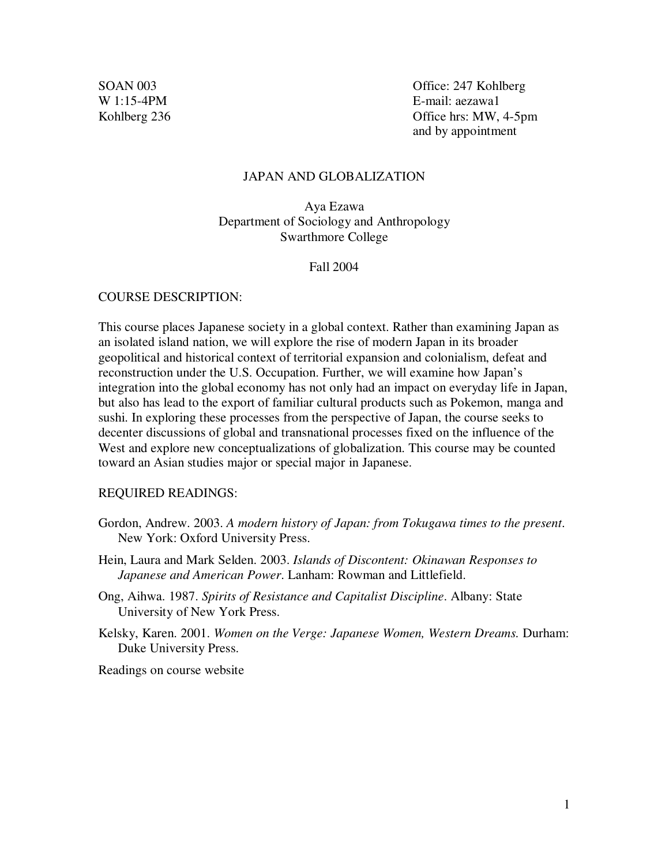SOAN 003 Office: 247 Kohlberg W 1:15-4PM E-mail: aezawa1 Kohlberg 236 **Office hrs: MW, 4-5pm** and by appointment

# JAPAN AND GLOBALIZATION

Aya Ezawa Department of Sociology and Anthropology Swarthmore College

### Fall 2004

# COURSE DESCRIPTION:

This course places Japanese society in a global context. Rather than examining Japan as an isolated island nation, we will explore the rise of modern Japan in its broader geopolitical and historical context of territorial expansion and colonialism, defeat and reconstruction under the U.S. Occupation. Further, we will examine how Japan's integration into the global economy has not only had an impact on everyday life in Japan, but also has lead to the export of familiar cultural products such as Pokemon, manga and sushi. In exploring these processes from the perspective of Japan, the course seeks to decenter discussions of global and transnational processes fixed on the influence of the West and explore new conceptualizations of globalization. This course may be counted toward an Asian studies major or special major in Japanese.

# REQUIRED READINGS:

- Gordon, Andrew. 2003. *A modern history of Japan: from Tokugawa times to the present*. New York: Oxford University Press.
- Hein, Laura and Mark Selden. 2003. *Islands of Discontent: Okinawan Responses to Japanese and American Power*. Lanham: Rowman and Littlefield.
- Ong, Aihwa. 1987. *Spirits of Resistance and Capitalist Discipline*. Albany: State University of New York Press.
- Kelsky, Karen. 2001. *Women on the Verge: Japanese Women, Western Dreams.* Durham: Duke University Press.

Readings on course website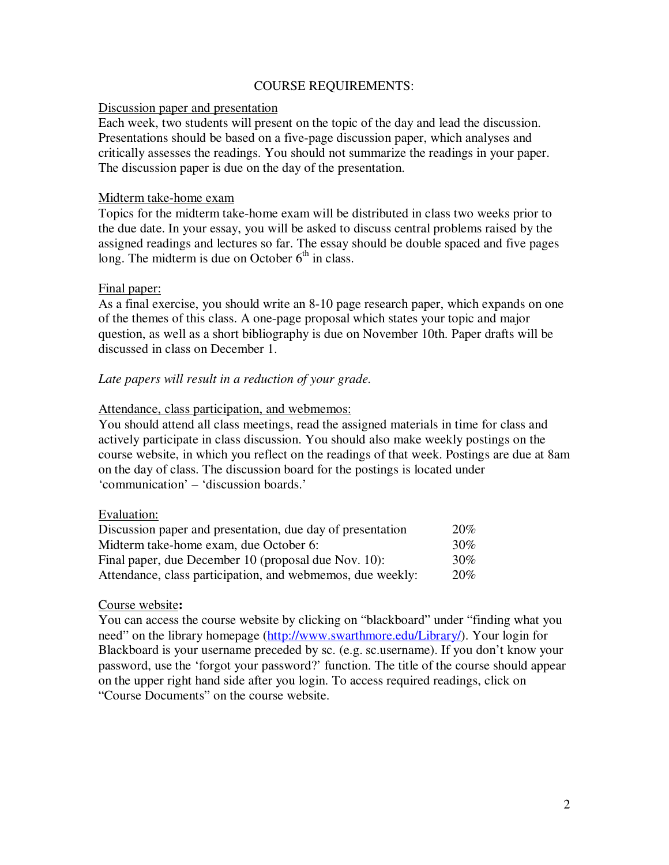# COURSE REQUIREMENTS:

# Discussion paper and presentation

Each week, two students will present on the topic of the day and lead the discussion. Presentations should be based on a five-page discussion paper, which analyses and critically assesses the readings. You should not summarize the readings in your paper. The discussion paper is due on the day of the presentation.

# Midterm take-home exam

Topics for the midterm take-home exam will be distributed in class two weeks prior to the due date. In your essay, you will be asked to discuss central problems raised by the assigned readings and lectures so far. The essay should be double spaced and five pages long. The midterm is due on October  $6<sup>th</sup>$  in class.

# Final paper:

As a final exercise, you should write an 8-10 page research paper, which expands on one of the themes of this class. A one-page proposal which states your topic and major question, as well as a short bibliography is due on November 10th. Paper drafts will be discussed in class on December 1.

# *Late papers will result in a reduction of your grade.*

# Attendance, class participation, and webmemos:

You should attend all class meetings, read the assigned materials in time for class and actively participate in class discussion. You should also make weekly postings on the course website, in which you reflect on the readings of that week. Postings are due at 8am on the day of class. The discussion board for the postings is located under 'communication' – 'discussion boards.'

# Evaluation:

| Discussion paper and presentation, due day of presentation | 20%    |
|------------------------------------------------------------|--------|
| Midterm take-home exam, due October 6:                     | 30%    |
| Final paper, due December 10 (proposal due Nov. 10):       | $30\%$ |
| Attendance, class participation, and webmemos, due weekly: | 20%    |

# Course website**:**

You can access the course website by clicking on "blackboard" under "finding what you need" on the library homepage (http://www.swarthmore.edu/Library/). Your login for Blackboard is your username preceded by sc. (e.g. sc.username). If you don't know your password, use the 'forgot your password?' function. The title of the course should appear on the upper right hand side after you login. To access required readings, click on "Course Documents" on the course website.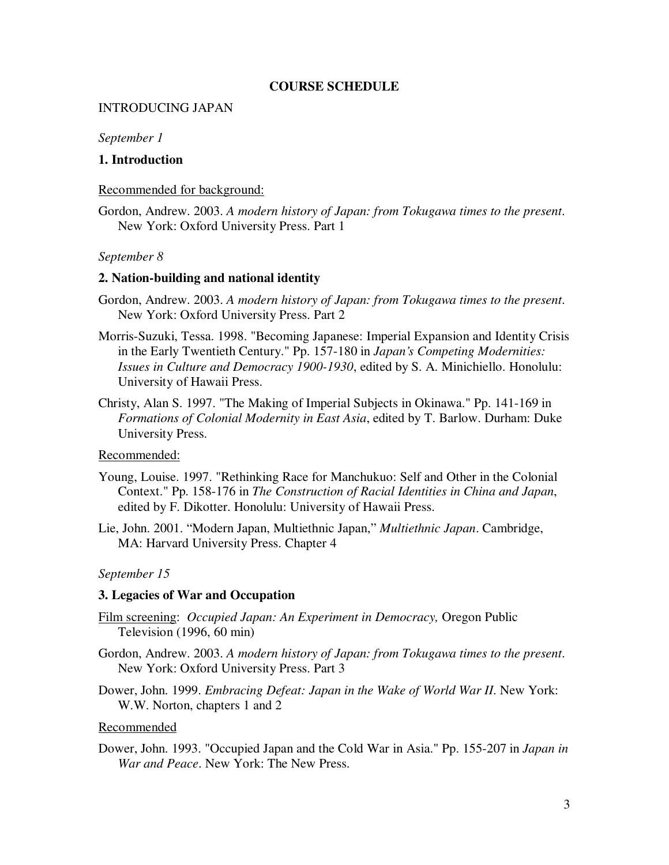# **COURSE SCHEDULE**

# INTRODUCING JAPAN

# *September 1*

# **1. Introduction**

# Recommended for background:

Gordon, Andrew. 2003. *A modern history of Japan: from Tokugawa times to the present*. New York: Oxford University Press. Part 1

# *September 8*

### **2. Nation-building and national identity**

- Gordon, Andrew. 2003. *A modern history of Japan: from Tokugawa times to the present*. New York: Oxford University Press. Part 2
- Morris-Suzuki, Tessa. 1998. "Becoming Japanese: Imperial Expansion and Identity Crisis in the Early Twentieth Century." Pp. 157-180 in *Japan's Competing Modernities: Issues in Culture and Democracy 1900-1930*, edited by S. A. Minichiello. Honolulu: University of Hawaii Press.
- Christy, Alan S. 1997. "The Making of Imperial Subjects in Okinawa." Pp. 141-169 in *Formations of Colonial Modernity in East Asia*, edited by T. Barlow. Durham: Duke University Press.

# Recommended:

- Young, Louise. 1997. "Rethinking Race for Manchukuo: Self and Other in the Colonial Context." Pp. 158-176 in *The Construction of Racial Identities in China and Japan*, edited by F. Dikotter. Honolulu: University of Hawaii Press.
- Lie, John. 2001. "Modern Japan, Multiethnic Japan," *Multiethnic Japan*. Cambridge, MA: Harvard University Press. Chapter 4

# *September 15*

# **3. Legacies of War and Occupation**

- Film screening: *Occupied Japan: An Experiment in Democracy,* Oregon Public Television (1996, 60 min)
- Gordon, Andrew. 2003. *A modern history of Japan: from Tokugawa times to the present*. New York: Oxford University Press. Part 3
- Dower, John. 1999. *Embracing Defeat: Japan in the Wake of World War II*. New York: W.W. Norton, chapters 1 and 2

#### Recommended

Dower, John. 1993. "Occupied Japan and the Cold War in Asia." Pp. 155-207 in *Japan in War and Peace*. New York: The New Press.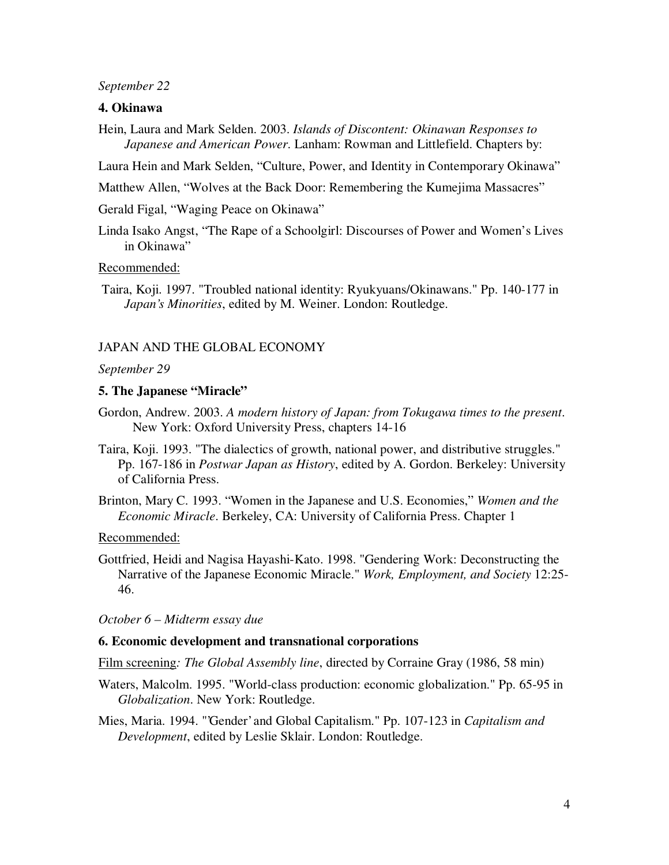### *September 22*

# **4. Okinawa**

Hein, Laura and Mark Selden. 2003. *Islands of Discontent: Okinawan Responses to Japanese and American Power*. Lanham: Rowman and Littlefield. Chapters by:

Laura Hein and Mark Selden, "Culture, Power, and Identity in Contemporary Okinawa"

Matthew Allen, "Wolves at the Back Door: Remembering the Kumejima Massacres"

Gerald Figal, "Waging Peace on Okinawa"

Linda Isako Angst, "The Rape of a Schoolgirl: Discourses of Power and Women's Lives in Okinawa"

#### Recommended:

Taira, Koji. 1997. "Troubled national identity: Ryukyuans/Okinawans." Pp. 140-177 in *Japan's Minorities*, edited by M. Weiner. London: Routledge.

# JAPAN AND THE GLOBAL ECONOMY

#### *September 29*

### **5. The Japanese "Miracle"**

- Gordon, Andrew. 2003. *A modern history of Japan: from Tokugawa times to the present*. New York: Oxford University Press, chapters 14-16
- Taira, Koji. 1993. "The dialectics of growth, national power, and distributive struggles." Pp. 167-186 in *Postwar Japan as History*, edited by A. Gordon. Berkeley: University of California Press.
- Brinton, Mary C. 1993. "Women in the Japanese and U.S. Economies," *Women and the Economic Miracle*. Berkeley, CA: University of California Press. Chapter 1

### Recommended:

Gottfried, Heidi and Nagisa Hayashi-Kato. 1998. "Gendering Work: Deconstructing the Narrative of the Japanese Economic Miracle." *Work, Employment, and Society* 12:25- 46.

#### *October 6 – Midterm essay due*

# **6. Economic development and transnational corporations**

Film screening*: The Global Assembly line*, directed by Corraine Gray (1986, 58 min)

- Waters, Malcolm. 1995. "World-class production: economic globalization." Pp. 65-95 in *Globalization*. New York: Routledge.
- Mies, Maria. 1994. "'Gender'and Global Capitalism." Pp. 107-123 in *Capitalism and Development*, edited by Leslie Sklair. London: Routledge.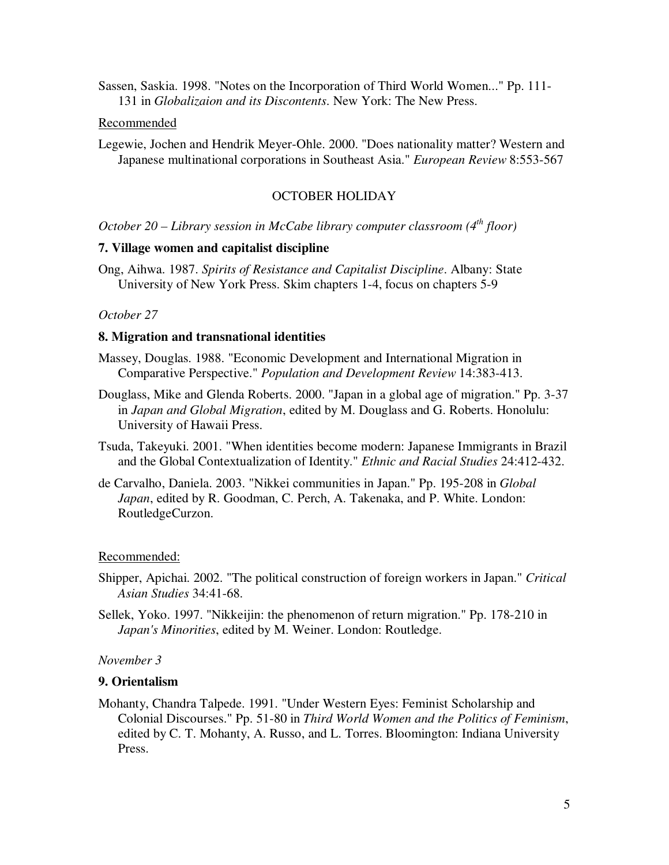Sassen, Saskia. 1998. "Notes on the Incorporation of Third World Women..." Pp. 111- 131 in *Globalizaion and its Discontents*. New York: The New Press.

#### Recommended

Legewie, Jochen and Hendrik Meyer-Ohle. 2000. "Does nationality matter? Western and Japanese multinational corporations in Southeast Asia." *European Review* 8:553-567

### OCTOBER HOLIDAY

*October 20 – Library session in McCabe library computer classroom (4 th floor)*

### **7. Village women and capitalist discipline**

Ong, Aihwa. 1987. *Spirits of Resistance and Capitalist Discipline*. Albany: State University of New York Press. Skim chapters 1-4, focus on chapters 5-9

# *October 27*

### **8. Migration and transnational identities**

- Massey, Douglas. 1988. "Economic Development and International Migration in Comparative Perspective." *Population and Development Review* 14:383-413.
- Douglass, Mike and Glenda Roberts. 2000. "Japan in a global age of migration." Pp. 3-37 in *Japan and Global Migration*, edited by M. Douglass and G. Roberts. Honolulu: University of Hawaii Press.
- Tsuda, Takeyuki. 2001. "When identities become modern: Japanese Immigrants in Brazil and the Global Contextualization of Identity." *Ethnic and Racial Studies* 24:412-432.
- de Carvalho, Daniela. 2003. "Nikkei communities in Japan." Pp. 195-208 in *Global Japan*, edited by R. Goodman, C. Perch, A. Takenaka, and P. White. London: RoutledgeCurzon.

#### Recommended:

- Shipper, Apichai. 2002. "The political construction of foreign workers in Japan." *Critical Asian Studies* 34:41-68.
- Sellek, Yoko. 1997. "Nikkeijin: the phenomenon of return migration." Pp. 178-210 in *Japan's Minorities*, edited by M. Weiner. London: Routledge.

#### *November 3*

# **9. Orientalism**

Mohanty, Chandra Talpede. 1991. "Under Western Eyes: Feminist Scholarship and Colonial Discourses." Pp. 51-80 in *Third World Women and the Politics of Feminism*, edited by C. T. Mohanty, A. Russo, and L. Torres. Bloomington: Indiana University Press.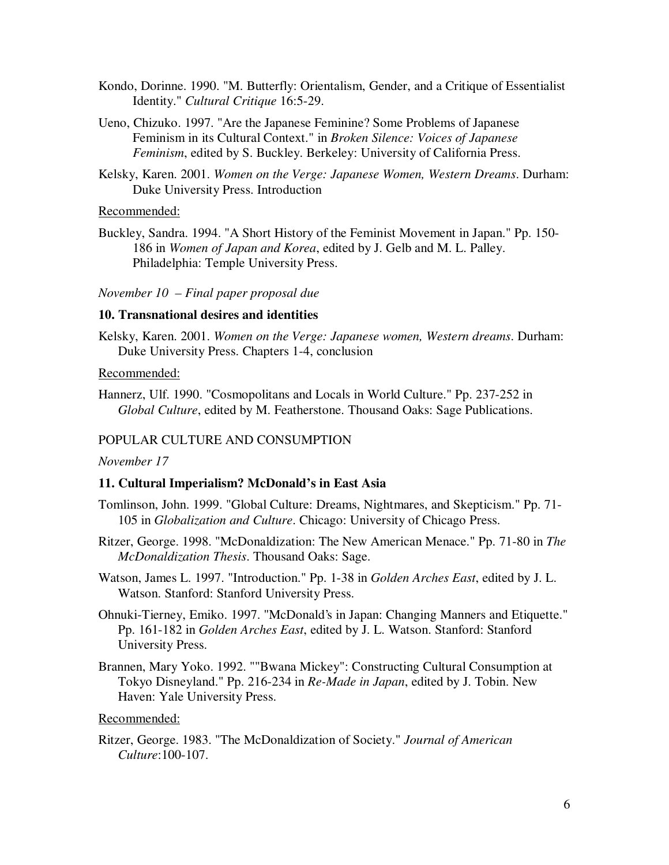- Kondo, Dorinne. 1990. "M. Butterfly: Orientalism, Gender, and a Critique of Essentialist Identity." *Cultural Critique* 16:5-29.
- Ueno, Chizuko. 1997. "Are the Japanese Feminine? Some Problems of Japanese Feminism in its Cultural Context." in *Broken Silence: Voices of Japanese Feminism*, edited by S. Buckley. Berkeley: University of California Press.
- Kelsky, Karen. 2001. *Women on the Verge: Japanese Women, Western Dreams*. Durham: Duke University Press. Introduction

# Recommended:

Buckley, Sandra. 1994. "A Short History of the Feminist Movement in Japan." Pp. 150- 186 in *Women of Japan and Korea*, edited by J. Gelb and M. L. Palley. Philadelphia: Temple University Press.

### *November 10 – Final paper proposal due*

# **10. Transnational desires and identities**

Kelsky, Karen. 2001. *Women on the Verge: Japanese women, Western dreams*. Durham: Duke University Press. Chapters 1-4, conclusion

#### Recommended:

Hannerz, Ulf. 1990. "Cosmopolitans and Locals in World Culture." Pp. 237-252 in *Global Culture*, edited by M. Featherstone. Thousand Oaks: Sage Publications.

# POPULAR CULTURE AND CONSUMPTION

# *November 17*

#### **11. Cultural Imperialism? McDonald's in East Asia**

- Tomlinson, John. 1999. "Global Culture: Dreams, Nightmares, and Skepticism." Pp. 71- 105 in *Globalization and Culture*. Chicago: University of Chicago Press.
- Ritzer, George. 1998. "McDonaldization: The New American Menace." Pp. 71-80 in *The McDonaldization Thesis*. Thousand Oaks: Sage.
- Watson, James L. 1997. "Introduction." Pp. 1-38 in *Golden Arches East*, edited by J. L. Watson. Stanford: Stanford University Press.
- Ohnuki-Tierney, Emiko. 1997. "McDonald's in Japan: Changing Manners and Etiquette." Pp. 161-182 in *Golden Arches East*, edited by J. L. Watson. Stanford: Stanford University Press.
- Brannen, Mary Yoko. 1992. ""Bwana Mickey": Constructing Cultural Consumption at Tokyo Disneyland." Pp. 216-234 in *Re-Made in Japan*, edited by J. Tobin. New Haven: Yale University Press.

#### Recommended:

Ritzer, George. 1983. "The McDonaldization of Society." *Journal of American Culture*:100-107.